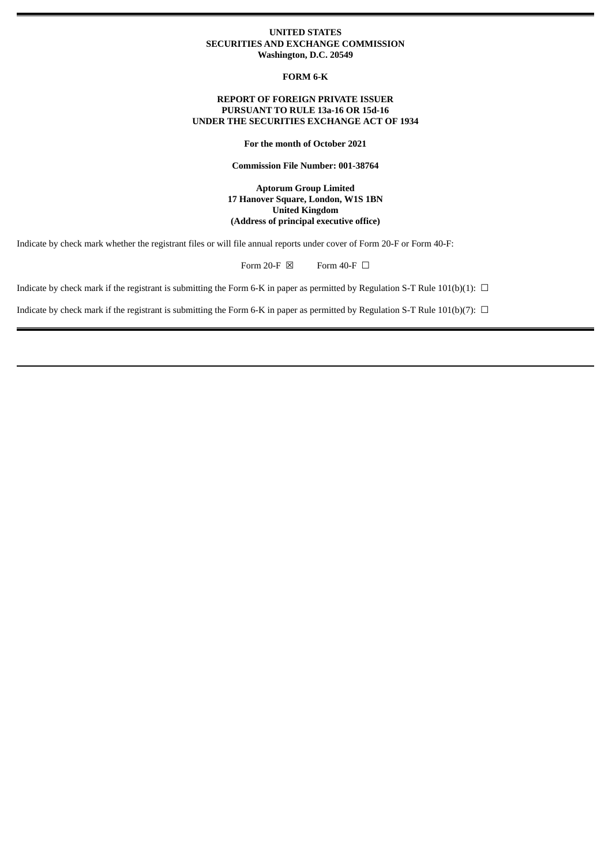### **UNITED STATES SECURITIES AND EXCHANGE COMMISSION Washington, D.C. 20549**

**FORM 6-K**

### **REPORT OF FOREIGN PRIVATE ISSUER PURSUANT TO RULE 13a-16 OR 15d-16 UNDER THE SECURITIES EXCHANGE ACT OF 1934**

**For the month of October 2021**

**Commission File Number: 001-38764**

**Aptorum Group Limited 17 Hanover Square, London, W1S 1BN United Kingdom (Address of principal executive office)**

Indicate by check mark whether the registrant files or will file annual reports under cover of Form 20-F or Form 40-F:

Form 20-F  $\boxtimes$  Form 40-F  $\Box$ 

Indicate by check mark if the registrant is submitting the Form 6-K in paper as permitted by Regulation S-T Rule 101(b)(1):  $\Box$ 

Indicate by check mark if the registrant is submitting the Form 6-K in paper as permitted by Regulation S-T Rule 101(b)(7):  $\Box$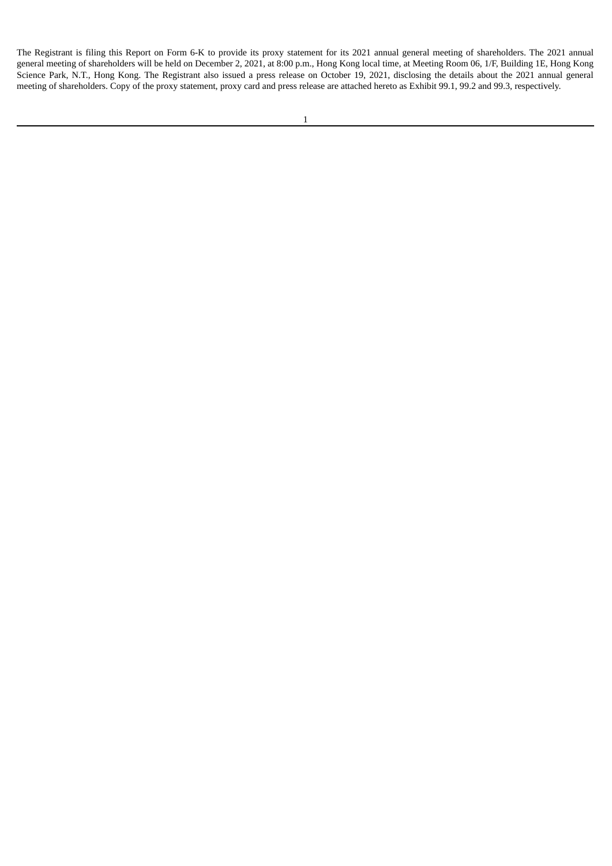The Registrant is filing this Report on Form 6-K to provide its proxy statement for its 2021 annual general meeting of shareholders. The 2021 annual general meeting of shareholders will be held on December 2, 2021, at 8:00 p.m., Hong Kong local time, at Meeting Room 06, 1/F, Building 1E, Hong Kong Science Park, N.T., Hong Kong. The Registrant also issued a press release on October 19, 2021, disclosing the details about the 2021 annual general meeting of shareholders. Copy of the proxy statement, proxy card and press release are attached hereto as Exhibit 99.1, 99.2 and 99.3, respectively.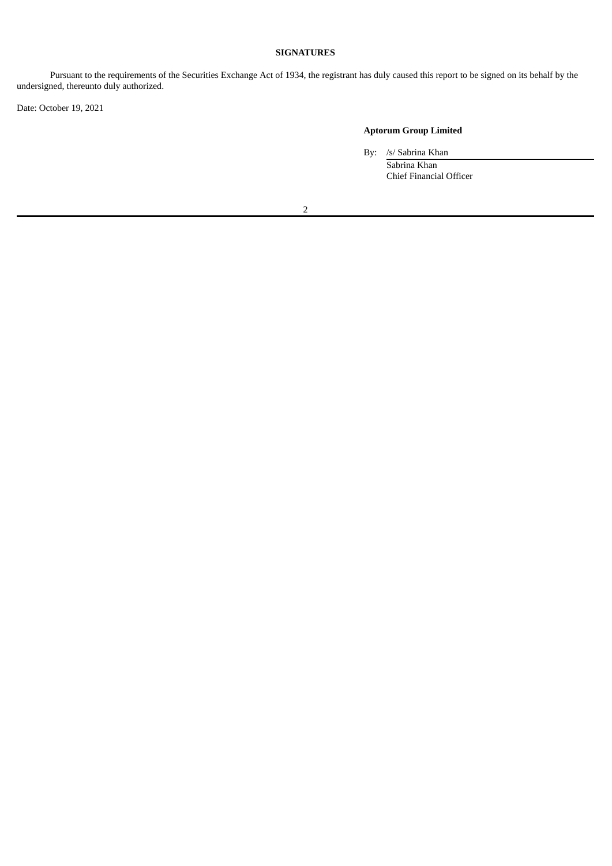## **SIGNATURES**

Pursuant to the requirements of the Securities Exchange Act of 1934, the registrant has duly caused this report to be signed on its behalf by the undersigned, thereunto duly authorized.

Date: October 19, 2021

# **Aptorum Group Limited**

By: /s/ Sabrina Khan

Sabrina Khan Chief Financial Officer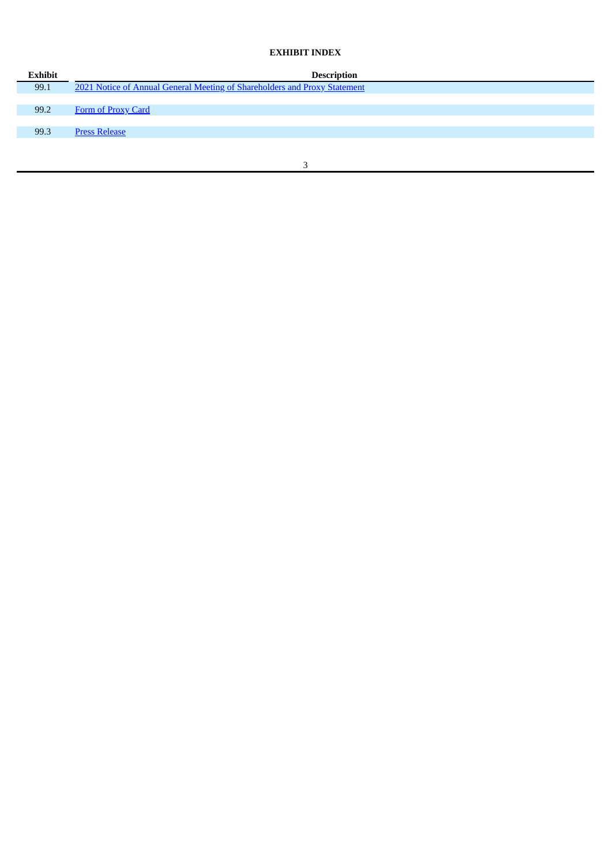# **EXHIBIT INDEX**

| Exhibit | <b>Description</b>                                                        |
|---------|---------------------------------------------------------------------------|
| 99.1    | 2021 Notice of Annual General Meeting of Shareholders and Proxy Statement |
|         |                                                                           |
| 99.2    | Form of Proxy Card                                                        |
|         |                                                                           |
| 99.3    | <b>Press Release</b>                                                      |
|         |                                                                           |
|         |                                                                           |
|         |                                                                           |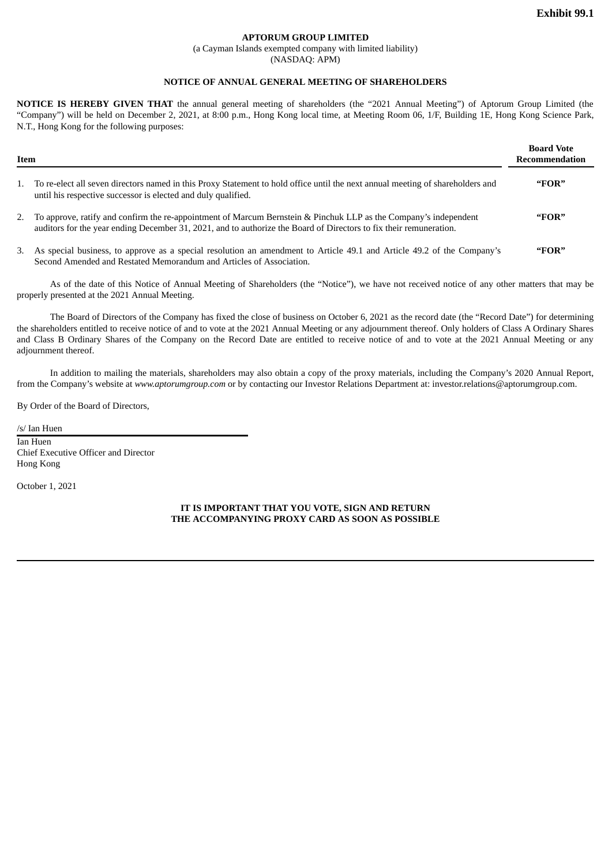## **APTORUM GROUP LIMITED**

(a Cayman Islands exempted company with limited liability)

(NASDAQ: APM)

### **NOTICE OF ANNUAL GENERAL MEETING OF SHAREHOLDERS**

<span id="page-4-0"></span>**NOTICE IS HEREBY GIVEN THAT** the annual general meeting of shareholders (the "2021 Annual Meeting") of Aptorum Group Limited (the "Company") will be held on December 2, 2021, at 8:00 p.m., Hong Kong local time, at Meeting Room 06, 1/F, Building 1E, Hong Kong Science Park, N.T., Hong Kong for the following purposes:

| Item |                                                                                                                                                                                                                                           | <b>Board Vote</b><br>Recommendation |  |
|------|-------------------------------------------------------------------------------------------------------------------------------------------------------------------------------------------------------------------------------------------|-------------------------------------|--|
|      | 1. To re-elect all seven directors named in this Proxy Statement to hold office until the next annual meeting of shareholders and<br>until his respective successor is elected and duly qualified.                                        | "FOR"                               |  |
|      | 2. To approve, ratify and confirm the re-appointment of Marcum Bernstein & Pinchuk LLP as the Company's independent<br>auditors for the year ending December 31, 2021, and to authorize the Board of Directors to fix their remuneration. | "FOR"                               |  |
|      | 3. As special business, to approve as a special resolution an amendment to Article 49.1 and Article 49.2 of the Company's<br>Second Amended and Restated Memorandum and Articles of Association.                                          | "FOR"                               |  |

As of the date of this Notice of Annual Meeting of Shareholders (the "Notice"), we have not received notice of any other matters that may be properly presented at the 2021 Annual Meeting.

The Board of Directors of the Company has fixed the close of business on October 6, 2021 as the record date (the "Record Date") for determining the shareholders entitled to receive notice of and to vote at the 2021 Annual Meeting or any adjournment thereof. Only holders of Class A Ordinary Shares and Class B Ordinary Shares of the Company on the Record Date are entitled to receive notice of and to vote at the 2021 Annual Meeting or any adjournment thereof.

In addition to mailing the materials, shareholders may also obtain a copy of the proxy materials, including the Company's 2020 Annual Report, from the Company's website at *www.aptorumgroup.com* or by contacting our Investor Relations Department at: investor.relations@aptorumgroup.com.

By Order of the Board of Directors,

/s/ Ian Huen

Ian Huen Chief Executive Officer and Director Hong Kong

October 1, 2021

**IT IS IMPORTANT THAT YOU VOTE, SIGN AND RETURN THE ACCOMPANYING PROXY CARD AS SOON AS POSSIBLE**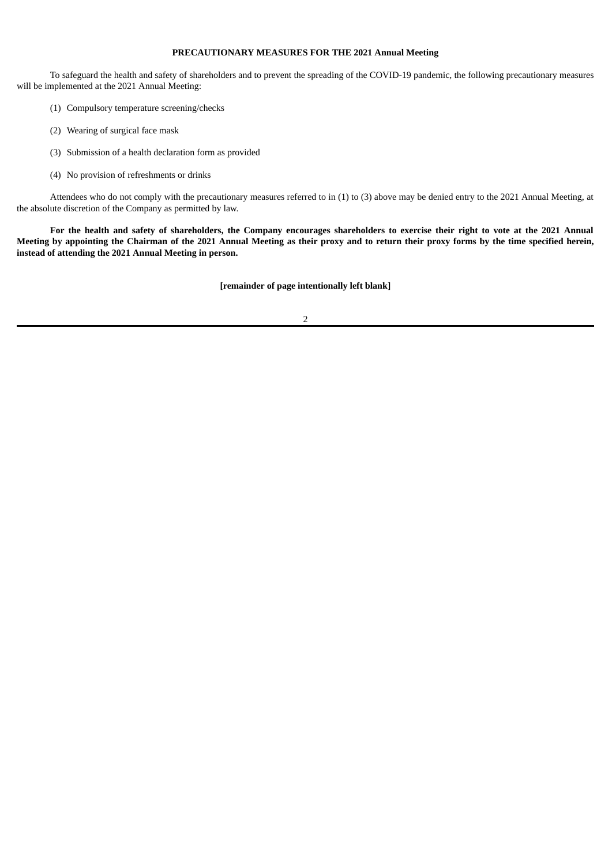### **PRECAUTIONARY MEASURES FOR THE 2021 Annual Meeting**

To safeguard the health and safety of shareholders and to prevent the spreading of the COVID-19 pandemic, the following precautionary measures will be implemented at the 2021 Annual Meeting:

- (1) Compulsory temperature screening/checks
- (2) Wearing of surgical face mask
- (3) Submission of a health declaration form as provided
- (4) No provision of refreshments or drinks

Attendees who do not comply with the precautionary measures referred to in (1) to (3) above may be denied entry to the 2021 Annual Meeting, at the absolute discretion of the Company as permitted by law.

For the health and safety of shareholders, the Company encourages shareholders to exercise their right to vote at the 2021 Annual Meeting by appointing the Chairman of the 2021 Annual Meeting as their proxy and to return their proxy forms by the time specified herein, **instead of attending the 2021 Annual Meeting in person.**

**[remainder of page intentionally left blank]**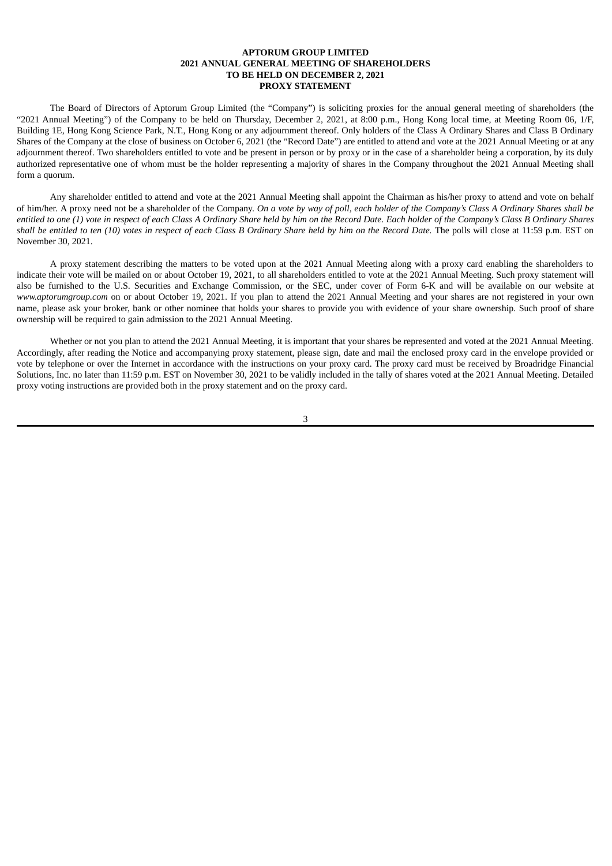#### **APTORUM GROUP LIMITED 2021 ANNUAL GENERAL MEETING OF SHAREHOLDERS TO BE HELD ON DECEMBER 2, 2021 PROXY STATEMENT**

The Board of Directors of Aptorum Group Limited (the "Company") is soliciting proxies for the annual general meeting of shareholders (the "2021 Annual Meeting") of the Company to be held on Thursday, December 2, 2021, at 8:00 p.m., Hong Kong local time, at Meeting Room 06, 1/F, Building 1E, Hong Kong Science Park, N.T., Hong Kong or any adjournment thereof. Only holders of the Class A Ordinary Shares and Class B Ordinary Shares of the Company at the close of business on October 6, 2021 (the "Record Date") are entitled to attend and vote at the 2021 Annual Meeting or at any adjournment thereof. Two shareholders entitled to vote and be present in person or by proxy or in the case of a shareholder being a corporation, by its duly authorized representative one of whom must be the holder representing a majority of shares in the Company throughout the 2021 Annual Meeting shall form a quorum.

Any shareholder entitled to attend and vote at the 2021 Annual Meeting shall appoint the Chairman as his/her proxy to attend and vote on behalf of him/her. A proxy need not be a shareholder of the Company. On a vote by way of poll, each holder of the Company's Class A Ordinary Shares shall be entitled to one (1) vote in respect of each Class A Ordinary Share held by him on the Record Date. Each holder of the Company's Class B Ordinary Shares shall be entitled to ten (10) votes in respect of each Class B Ordinary Share held by him on the Record Date. The polls will close at 11:59 p.m. EST on November 30, 2021.

A proxy statement describing the matters to be voted upon at the 2021 Annual Meeting along with a proxy card enabling the shareholders to indicate their vote will be mailed on or about October 19, 2021, to all shareholders entitled to vote at the 2021 Annual Meeting. Such proxy statement will also be furnished to the U.S. Securities and Exchange Commission, or the SEC, under cover of Form 6-K and will be available on our website at *www.aptorumgroup.com* on or about October 19, 2021. If you plan to attend the 2021 Annual Meeting and your shares are not registered in your own name, please ask your broker, bank or other nominee that holds your shares to provide you with evidence of your share ownership. Such proof of share ownership will be required to gain admission to the 2021 Annual Meeting.

Whether or not you plan to attend the 2021 Annual Meeting, it is important that your shares be represented and voted at the 2021 Annual Meeting. Accordingly, after reading the Notice and accompanying proxy statement, please sign, date and mail the enclosed proxy card in the envelope provided or vote by telephone or over the Internet in accordance with the instructions on your proxy card. The proxy card must be received by Broadridge Financial Solutions, Inc. no later than 11:59 p.m. EST on November 30, 2021 to be validly included in the tally of shares voted at the 2021 Annual Meeting. Detailed proxy voting instructions are provided both in the proxy statement and on the proxy card.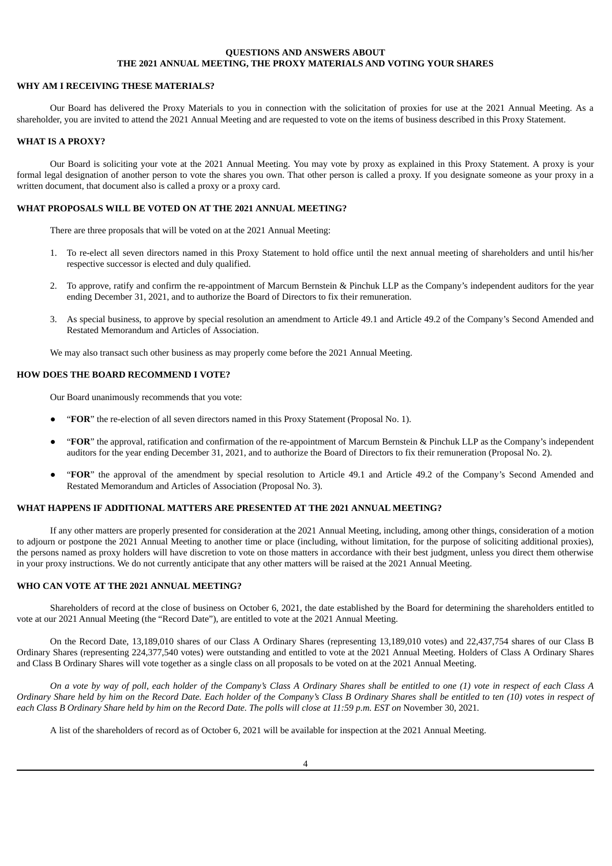## **QUESTIONS AND ANSWERS ABOUT THE 2021 ANNUAL MEETING, THE PROXY MATERIALS AND VOTING YOUR SHARES**

#### **WHY AM I RECEIVING THESE MATERIALS?**

Our Board has delivered the Proxy Materials to you in connection with the solicitation of proxies for use at the 2021 Annual Meeting. As a shareholder, you are invited to attend the 2021 Annual Meeting and are requested to vote on the items of business described in this Proxy Statement.

## **WHAT IS A PROXY?**

Our Board is soliciting your vote at the 2021 Annual Meeting. You may vote by proxy as explained in this Proxy Statement. A proxy is your formal legal designation of another person to vote the shares you own. That other person is called a proxy. If you designate someone as your proxy in a written document, that document also is called a proxy or a proxy card.

### **WHAT PROPOSALS WILL BE VOTED ON AT THE 2021 ANNUAL MEETING?**

There are three proposals that will be voted on at the 2021 Annual Meeting:

- 1. To re-elect all seven directors named in this Proxy Statement to hold office until the next annual meeting of shareholders and until his/her respective successor is elected and duly qualified.
- 2. To approve, ratify and confirm the re-appointment of Marcum Bernstein & Pinchuk LLP as the Company's independent auditors for the year ending December 31, 2021, and to authorize the Board of Directors to fix their remuneration.
- 3. As special business, to approve by special resolution an amendment to Article 49.1 and Article 49.2 of the Company's Second Amended and Restated Memorandum and Articles of Association.

We may also transact such other business as may properly come before the 2021 Annual Meeting.

#### **HOW DOES THE BOARD RECOMMEND I VOTE?**

Our Board unanimously recommends that you vote:

- "FOR" the re-election of all seven directors named in this Proxy Statement (Proposal No. 1).
- "FOR" the approval, ratification and confirmation of the re-appointment of Marcum Bernstein & Pinchuk LLP as the Company's independent auditors for the year ending December 31, 2021, and to authorize the Board of Directors to fix their remuneration (Proposal No. 2).
- "FOR" the approval of the amendment by special resolution to Article 49.1 and Article 49.2 of the Company's Second Amended and Restated Memorandum and Articles of Association (Proposal No. 3).

### **WHAT HAPPENS IF ADDITIONAL MATTERS ARE PRESENTED AT THE 2021 ANNUAL MEETING?**

If any other matters are properly presented for consideration at the 2021 Annual Meeting, including, among other things, consideration of a motion to adjourn or postpone the 2021 Annual Meeting to another time or place (including, without limitation, for the purpose of soliciting additional proxies), the persons named as proxy holders will have discretion to vote on those matters in accordance with their best judgment, unless you direct them otherwise in your proxy instructions. We do not currently anticipate that any other matters will be raised at the 2021 Annual Meeting.

#### **WHO CAN VOTE AT THE 2021 ANNUAL MEETING?**

Shareholders of record at the close of business on October 6, 2021, the date established by the Board for determining the shareholders entitled to vote at our 2021 Annual Meeting (the "Record Date"), are entitled to vote at the 2021 Annual Meeting.

On the Record Date, 13,189,010 shares of our Class A Ordinary Shares (representing 13,189,010 votes) and 22,437,754 shares of our Class B Ordinary Shares (representing 224,377,540 votes) were outstanding and entitled to vote at the 2021 Annual Meeting. Holders of Class A Ordinary Shares and Class B Ordinary Shares will vote together as a single class on all proposals to be voted on at the 2021 Annual Meeting.

On a vote by way of poll, each holder of the Company's Class A Ordinary Shares shall be entitled to one (1) vote in respect of each Class A Ordinary Share held by him on the Record Date. Each holder of the Company's Class B Ordinary Shares shall be entitled to ten (10) votes in respect of each Class B Ordinary Share held by him on the Record Date. The polls will close at 11:59 p.m. EST on November 30, 2021.

A list of the shareholders of record as of October 6, 2021 will be available for inspection at the 2021 Annual Meeting.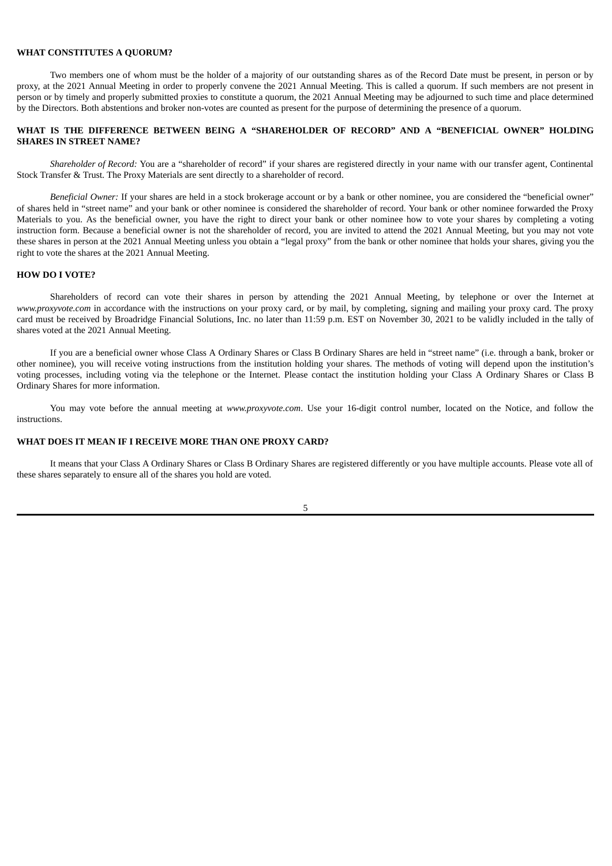#### **WHAT CONSTITUTES A QUORUM?**

Two members one of whom must be the holder of a majority of our outstanding shares as of the Record Date must be present, in person or by proxy, at the 2021 Annual Meeting in order to properly convene the 2021 Annual Meeting. This is called a quorum. If such members are not present in person or by timely and properly submitted proxies to constitute a quorum, the 2021 Annual Meeting may be adjourned to such time and place determined by the Directors. Both abstentions and broker non-votes are counted as present for the purpose of determining the presence of a quorum.

## **WHAT IS THE DIFFERENCE BETWEEN BEING A "SHAREHOLDER OF RECORD" AND A "BENEFICIAL OWNER" HOLDING SHARES IN STREET NAME?**

*Shareholder of Record:* You are a "shareholder of record" if your shares are registered directly in your name with our transfer agent, Continental Stock Transfer & Trust. The Proxy Materials are sent directly to a shareholder of record.

*Beneficial Owner:* If your shares are held in a stock brokerage account or by a bank or other nominee, you are considered the "beneficial owner" of shares held in "street name" and your bank or other nominee is considered the shareholder of record. Your bank or other nominee forwarded the Proxy Materials to you. As the beneficial owner, you have the right to direct your bank or other nominee how to vote your shares by completing a voting instruction form. Because a beneficial owner is not the shareholder of record, you are invited to attend the 2021 Annual Meeting, but you may not vote these shares in person at the 2021 Annual Meeting unless you obtain a "legal proxy" from the bank or other nominee that holds your shares, giving you the right to vote the shares at the 2021 Annual Meeting.

#### **HOW DO I VOTE?**

Shareholders of record can vote their shares in person by attending the 2021 Annual Meeting, by telephone or over the Internet at *www.proxyvote.com* in accordance with the instructions on your proxy card, or by mail, by completing, signing and mailing your proxy card. The proxy card must be received by Broadridge Financial Solutions, Inc. no later than 11:59 p.m. EST on November 30, 2021 to be validly included in the tally of shares voted at the 2021 Annual Meeting.

If you are a beneficial owner whose Class A Ordinary Shares or Class B Ordinary Shares are held in "street name" (i.e. through a bank, broker or other nominee), you will receive voting instructions from the institution holding your shares. The methods of voting will depend upon the institution's voting processes, including voting via the telephone or the Internet. Please contact the institution holding your Class A Ordinary Shares or Class B Ordinary Shares for more information.

You may vote before the annual meeting at *www.proxyvote.com*. Use your 16-digit control number, located on the Notice, and follow the instructions.

#### **WHAT DOES IT MEAN IF I RECEIVE MORE THAN ONE PROXY CARD?**

It means that your Class A Ordinary Shares or Class B Ordinary Shares are registered differently or you have multiple accounts. Please vote all of these shares separately to ensure all of the shares you hold are voted.

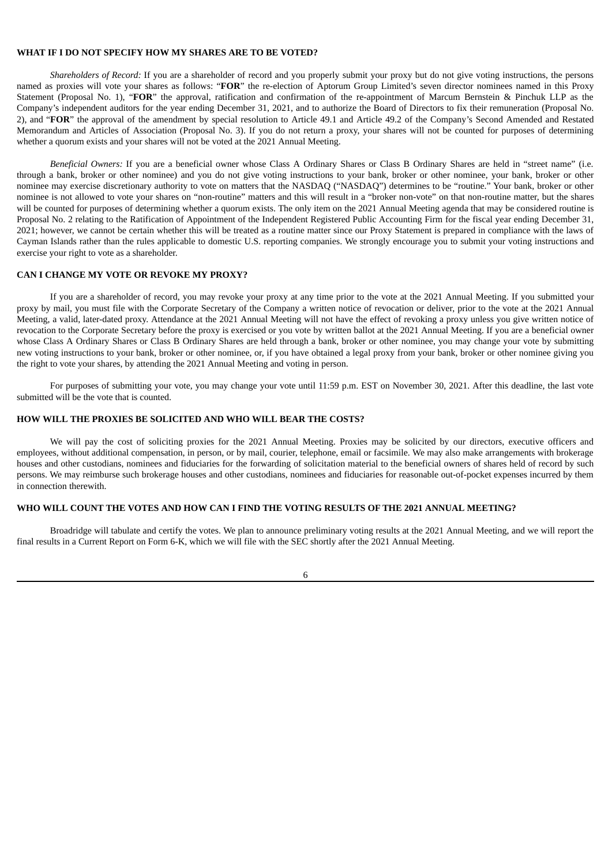### **WHAT IF I DO NOT SPECIFY HOW MY SHARES ARE TO BE VOTED?**

*Shareholders of Record:* If you are a shareholder of record and you properly submit your proxy but do not give voting instructions, the persons named as proxies will vote your shares as follows: "**FOR**" the re-election of Aptorum Group Limited's seven director nominees named in this Proxy Statement (Proposal No. 1), "**FOR**" the approval, ratification and confirmation of the re-appointment of Marcum Bernstein & Pinchuk LLP as the Company's independent auditors for the year ending December 31, 2021, and to authorize the Board of Directors to fix their remuneration (Proposal No. 2), and "**FOR**" the approval of the amendment by special resolution to Article 49.1 and Article 49.2 of the Company's Second Amended and Restated Memorandum and Articles of Association (Proposal No. 3). If you do not return a proxy, your shares will not be counted for purposes of determining whether a quorum exists and your shares will not be voted at the 2021 Annual Meeting.

*Beneficial Owners:* If you are a beneficial owner whose Class A Ordinary Shares or Class B Ordinary Shares are held in "street name" (i.e. through a bank, broker or other nominee) and you do not give voting instructions to your bank, broker or other nominee, your bank, broker or other nominee may exercise discretionary authority to vote on matters that the NASDAQ ("NASDAQ") determines to be "routine." Your bank, broker or other nominee is not allowed to vote your shares on "non-routine" matters and this will result in a "broker non-vote" on that non-routine matter, but the shares will be counted for purposes of determining whether a quorum exists. The only item on the 2021 Annual Meeting agenda that may be considered routine is Proposal No. 2 relating to the Ratification of Appointment of the Independent Registered Public Accounting Firm for the fiscal year ending December 31, 2021; however, we cannot be certain whether this will be treated as a routine matter since our Proxy Statement is prepared in compliance with the laws of Cayman Islands rather than the rules applicable to domestic U.S. reporting companies. We strongly encourage you to submit your voting instructions and exercise your right to vote as a shareholder.

#### **CAN I CHANGE MY VOTE OR REVOKE MY PROXY?**

If you are a shareholder of record, you may revoke your proxy at any time prior to the vote at the 2021 Annual Meeting. If you submitted your proxy by mail, you must file with the Corporate Secretary of the Company a written notice of revocation or deliver, prior to the vote at the 2021 Annual Meeting, a valid, later-dated proxy. Attendance at the 2021 Annual Meeting will not have the effect of revoking a proxy unless you give written notice of revocation to the Corporate Secretary before the proxy is exercised or you vote by written ballot at the 2021 Annual Meeting. If you are a beneficial owner whose Class A Ordinary Shares or Class B Ordinary Shares are held through a bank, broker or other nominee, you may change your vote by submitting new voting instructions to your bank, broker or other nominee, or, if you have obtained a legal proxy from your bank, broker or other nominee giving you the right to vote your shares, by attending the 2021 Annual Meeting and voting in person.

For purposes of submitting your vote, you may change your vote until 11:59 p.m. EST on November 30, 2021. After this deadline, the last vote submitted will be the vote that is counted.

#### **HOW WILL THE PROXIES BE SOLICITED AND WHO WILL BEAR THE COSTS?**

We will pay the cost of soliciting proxies for the 2021 Annual Meeting. Proxies may be solicited by our directors, executive officers and employees, without additional compensation, in person, or by mail, courier, telephone, email or facsimile. We may also make arrangements with brokerage houses and other custodians, nominees and fiduciaries for the forwarding of solicitation material to the beneficial owners of shares held of record by such persons. We may reimburse such brokerage houses and other custodians, nominees and fiduciaries for reasonable out-of-pocket expenses incurred by them in connection therewith.

#### **WHO WILL COUNT THE VOTES AND HOW CAN I FIND THE VOTING RESULTS OF THE 2021 ANNUAL MEETING?**

Broadridge will tabulate and certify the votes. We plan to announce preliminary voting results at the 2021 Annual Meeting, and we will report the final results in a Current Report on Form 6-K, which we will file with the SEC shortly after the 2021 Annual Meeting.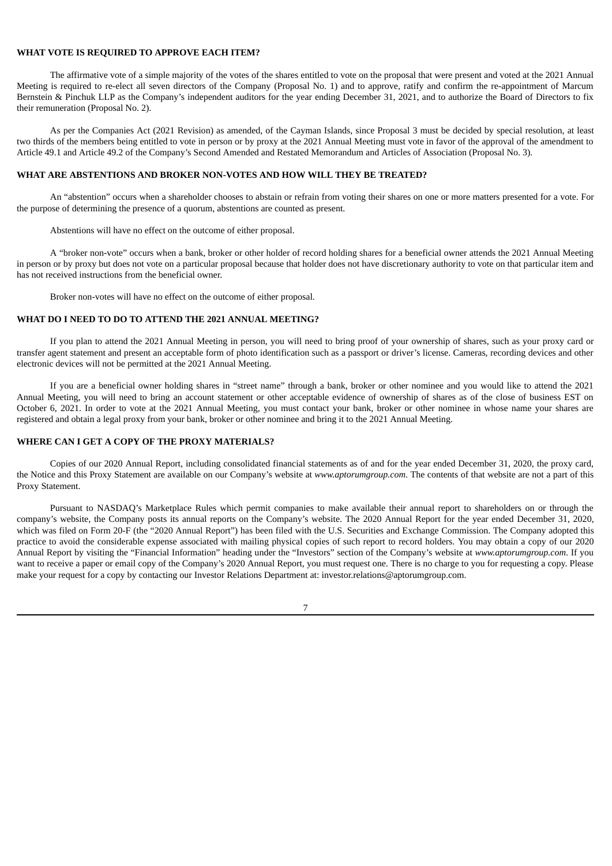### **WHAT VOTE IS REQUIRED TO APPROVE EACH ITEM?**

The affirmative vote of a simple majority of the votes of the shares entitled to vote on the proposal that were present and voted at the 2021 Annual Meeting is required to re-elect all seven directors of the Company (Proposal No. 1) and to approve, ratify and confirm the re-appointment of Marcum Bernstein & Pinchuk LLP as the Company's independent auditors for the year ending December 31, 2021, and to authorize the Board of Directors to fix their remuneration (Proposal No. 2).

As per the Companies Act (2021 Revision) as amended, of the Cayman Islands, since Proposal 3 must be decided by special resolution, at least two thirds of the members being entitled to vote in person or by proxy at the 2021 Annual Meeting must vote in favor of the approval of the amendment to Article 49.1 and Article 49.2 of the Company's Second Amended and Restated Memorandum and Articles of Association (Proposal No. 3).

### **WHAT ARE ABSTENTIONS AND BROKER NON-VOTES AND HOW WILL THEY BE TREATED?**

An "abstention" occurs when a shareholder chooses to abstain or refrain from voting their shares on one or more matters presented for a vote. For the purpose of determining the presence of a quorum, abstentions are counted as present.

Abstentions will have no effect on the outcome of either proposal.

A "broker non-vote" occurs when a bank, broker or other holder of record holding shares for a beneficial owner attends the 2021 Annual Meeting in person or by proxy but does not vote on a particular proposal because that holder does not have discretionary authority to vote on that particular item and has not received instructions from the beneficial owner.

Broker non-votes will have no effect on the outcome of either proposal.

### **WHAT DO I NEED TO DO TO ATTEND THE 2021 ANNUAL MEETING?**

If you plan to attend the 2021 Annual Meeting in person, you will need to bring proof of your ownership of shares, such as your proxy card or transfer agent statement and present an acceptable form of photo identification such as a passport or driver's license. Cameras, recording devices and other electronic devices will not be permitted at the 2021 Annual Meeting.

If you are a beneficial owner holding shares in "street name" through a bank, broker or other nominee and you would like to attend the 2021 Annual Meeting, you will need to bring an account statement or other acceptable evidence of ownership of shares as of the close of business EST on October 6, 2021. In order to vote at the 2021 Annual Meeting, you must contact your bank, broker or other nominee in whose name your shares are registered and obtain a legal proxy from your bank, broker or other nominee and bring it to the 2021 Annual Meeting.

#### **WHERE CAN I GET A COPY OF THE PROXY MATERIALS?**

Copies of our 2020 Annual Report, including consolidated financial statements as of and for the year ended December 31, 2020, the proxy card, the Notice and this Proxy Statement are available on our Company's website at *www.aptorumgroup.com*. The contents of that website are not a part of this Proxy Statement.

Pursuant to NASDAQ's Marketplace Rules which permit companies to make available their annual report to shareholders on or through the company's website, the Company posts its annual reports on the Company's website. The 2020 Annual Report for the year ended December 31, 2020, which was filed on Form 20-F (the "2020 Annual Report") has been filed with the U.S. Securities and Exchange Commission. The Company adopted this practice to avoid the considerable expense associated with mailing physical copies of such report to record holders. You may obtain a copy of our 2020 Annual Report by visiting the "Financial Information" heading under the "Investors" section of the Company's website at *www.aptorumgroup.com*. If you want to receive a paper or email copy of the Company's 2020 Annual Report, you must request one. There is no charge to you for requesting a copy. Please make your request for a copy by contacting our Investor Relations Department at: investor.relations@aptorumgroup.com.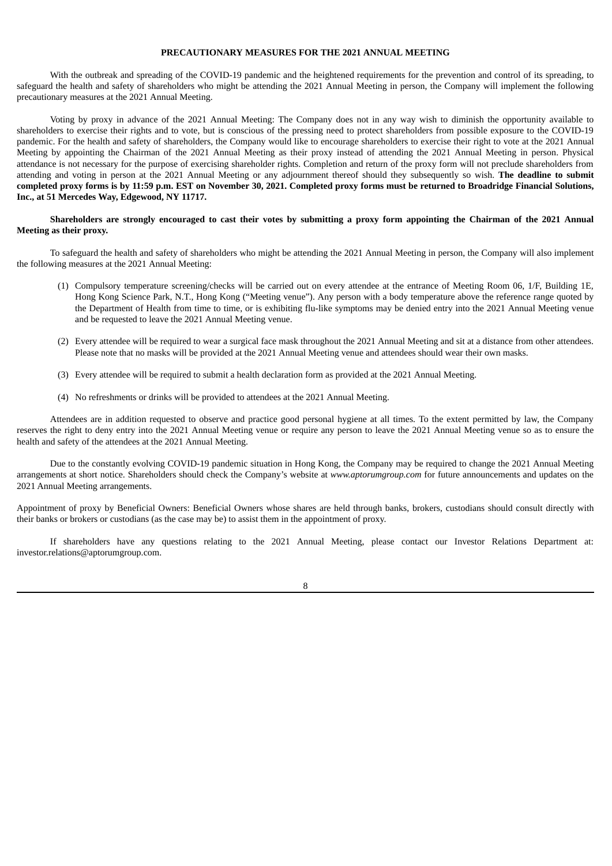### **PRECAUTIONARY MEASURES FOR THE 2021 ANNUAL MEETING**

With the outbreak and spreading of the COVID-19 pandemic and the heightened requirements for the prevention and control of its spreading, to safeguard the health and safety of shareholders who might be attending the 2021 Annual Meeting in person, the Company will implement the following precautionary measures at the 2021 Annual Meeting.

Voting by proxy in advance of the 2021 Annual Meeting: The Company does not in any way wish to diminish the opportunity available to shareholders to exercise their rights and to vote, but is conscious of the pressing need to protect shareholders from possible exposure to the COVID-19 pandemic. For the health and safety of shareholders, the Company would like to encourage shareholders to exercise their right to vote at the 2021 Annual Meeting by appointing the Chairman of the 2021 Annual Meeting as their proxy instead of attending the 2021 Annual Meeting in person. Physical attendance is not necessary for the purpose of exercising shareholder rights. Completion and return of the proxy form will not preclude shareholders from attending and voting in person at the 2021 Annual Meeting or any adjournment thereof should they subsequently so wish. **The deadline to submit** completed proxy forms is by 11:59 p.m. EST on November 30, 2021. Completed proxy forms must be returned to Broadridge Financial Solutions, **Inc., at 51 Mercedes Way, Edgewood, NY 11717.**

### Shareholders are strongly encouraged to cast their votes by submitting a proxy form appointing the Chairman of the 2021 Annual **Meeting as their proxy.**

To safeguard the health and safety of shareholders who might be attending the 2021 Annual Meeting in person, the Company will also implement the following measures at the 2021 Annual Meeting:

- (1) Compulsory temperature screening/checks will be carried out on every attendee at the entrance of Meeting Room 06, 1/F, Building 1E, Hong Kong Science Park, N.T., Hong Kong ("Meeting venue"). Any person with a body temperature above the reference range quoted by the Department of Health from time to time, or is exhibiting flu-like symptoms may be denied entry into the 2021 Annual Meeting venue and be requested to leave the 2021 Annual Meeting venue.
- (2) Every attendee will be required to wear a surgical face mask throughout the 2021 Annual Meeting and sit at a distance from other attendees. Please note that no masks will be provided at the 2021 Annual Meeting venue and attendees should wear their own masks.
- (3) Every attendee will be required to submit a health declaration form as provided at the 2021 Annual Meeting.
- (4) No refreshments or drinks will be provided to attendees at the 2021 Annual Meeting.

Attendees are in addition requested to observe and practice good personal hygiene at all times. To the extent permitted by law, the Company reserves the right to deny entry into the 2021 Annual Meeting venue or require any person to leave the 2021 Annual Meeting venue so as to ensure the health and safety of the attendees at the 2021 Annual Meeting.

Due to the constantly evolving COVID-19 pandemic situation in Hong Kong, the Company may be required to change the 2021 Annual Meeting arrangements at short notice. Shareholders should check the Company's website at *www.aptorumgroup.com* for future announcements and updates on the 2021 Annual Meeting arrangements.

Appointment of proxy by Beneficial Owners: Beneficial Owners whose shares are held through banks, brokers, custodians should consult directly with their banks or brokers or custodians (as the case may be) to assist them in the appointment of proxy.

If shareholders have any questions relating to the 2021 Annual Meeting, please contact our Investor Relations Department at: investor.relations@aptorumgroup.com.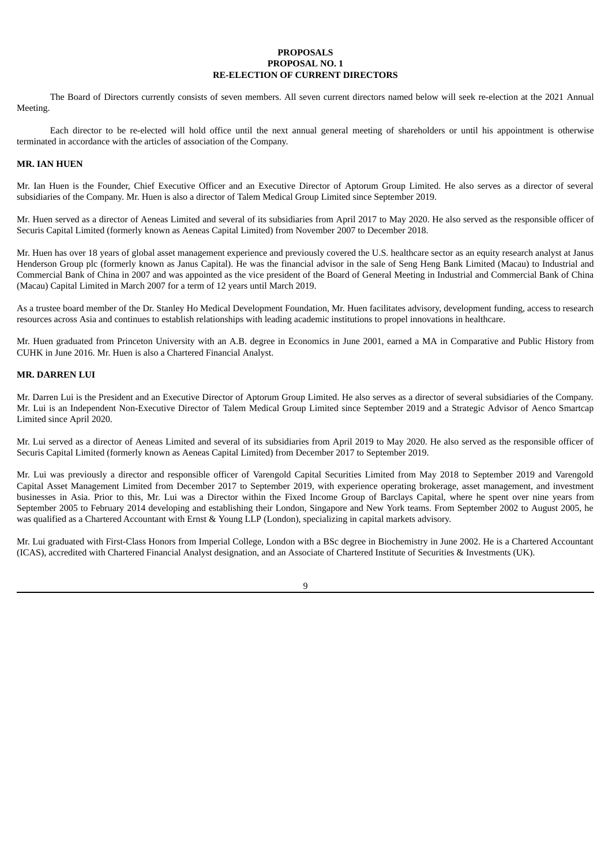#### **PROPOSALS PROPOSAL NO. 1 RE-ELECTION OF CURRENT DIRECTORS**

The Board of Directors currently consists of seven members. All seven current directors named below will seek re-election at the 2021 Annual Meeting.

Each director to be re-elected will hold office until the next annual general meeting of shareholders or until his appointment is otherwise terminated in accordance with the articles of association of the Company.

### **MR. IAN HUEN**

Mr. Ian Huen is the Founder, Chief Executive Officer and an Executive Director of Aptorum Group Limited. He also serves as a director of several subsidiaries of the Company. Mr. Huen is also a director of Talem Medical Group Limited since September 2019.

Mr. Huen served as a director of Aeneas Limited and several of its subsidiaries from April 2017 to May 2020. He also served as the responsible officer of Securis Capital Limited (formerly known as Aeneas Capital Limited) from November 2007 to December 2018.

Mr. Huen has over 18 years of global asset management experience and previously covered the U.S. healthcare sector as an equity research analyst at Janus Henderson Group plc (formerly known as Janus Capital). He was the financial advisor in the sale of Seng Heng Bank Limited (Macau) to Industrial and Commercial Bank of China in 2007 and was appointed as the vice president of the Board of General Meeting in Industrial and Commercial Bank of China (Macau) Capital Limited in March 2007 for a term of 12 years until March 2019.

As a trustee board member of the Dr. Stanley Ho Medical Development Foundation, Mr. Huen facilitates advisory, development funding, access to research resources across Asia and continues to establish relationships with leading academic institutions to propel innovations in healthcare.

Mr. Huen graduated from Princeton University with an A.B. degree in Economics in June 2001, earned a MA in Comparative and Public History from CUHK in June 2016. Mr. Huen is also a Chartered Financial Analyst.

#### **MR. DARREN LUI**

Mr. Darren Lui is the President and an Executive Director of Aptorum Group Limited. He also serves as a director of several subsidiaries of the Company. Mr. Lui is an Independent Non-Executive Director of Talem Medical Group Limited since September 2019 and a Strategic Advisor of Aenco Smartcap Limited since April 2020.

Mr. Lui served as a director of Aeneas Limited and several of its subsidiaries from April 2019 to May 2020. He also served as the responsible officer of Securis Capital Limited (formerly known as Aeneas Capital Limited) from December 2017 to September 2019.

Mr. Lui was previously a director and responsible officer of Varengold Capital Securities Limited from May 2018 to September 2019 and Varengold Capital Asset Management Limited from December 2017 to September 2019, with experience operating brokerage, asset management, and investment businesses in Asia. Prior to this, Mr. Lui was a Director within the Fixed Income Group of Barclays Capital, where he spent over nine years from September 2005 to February 2014 developing and establishing their London, Singapore and New York teams. From September 2002 to August 2005, he was qualified as a Chartered Accountant with Ernst & Young LLP (London), specializing in capital markets advisory.

Mr. Lui graduated with First-Class Honors from Imperial College, London with a BSc degree in Biochemistry in June 2002. He is a Chartered Accountant (ICAS), accredited with Chartered Financial Analyst designation, and an Associate of Chartered Institute of Securities & Investments (UK).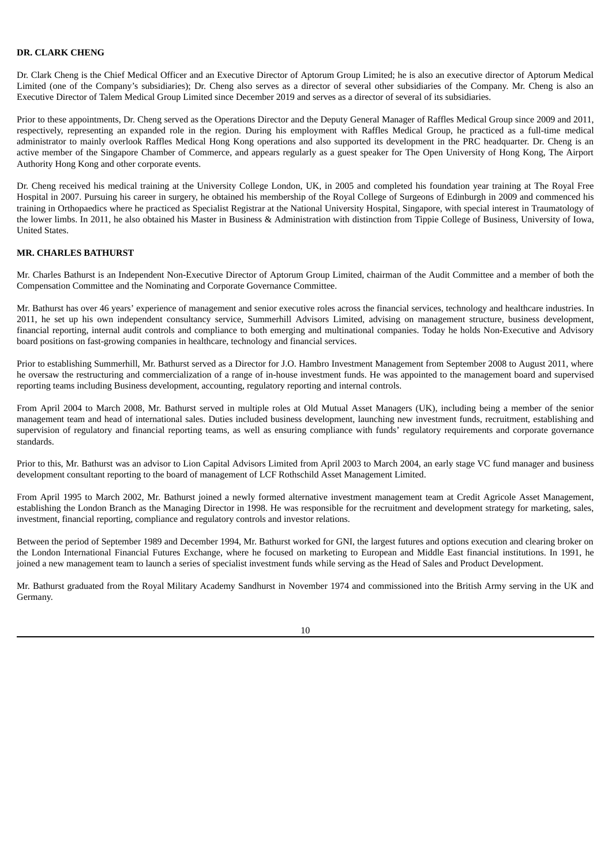## **DR. CLARK CHENG**

Dr. Clark Cheng is the Chief Medical Officer and an Executive Director of Aptorum Group Limited; he is also an executive director of Aptorum Medical Limited (one of the Company's subsidiaries); Dr. Cheng also serves as a director of several other subsidiaries of the Company. Mr. Cheng is also an Executive Director of Talem Medical Group Limited since December 2019 and serves as a director of several of its subsidiaries.

Prior to these appointments, Dr. Cheng served as the Operations Director and the Deputy General Manager of Raffles Medical Group since 2009 and 2011, respectively, representing an expanded role in the region. During his employment with Raffles Medical Group, he practiced as a full-time medical administrator to mainly overlook Raffles Medical Hong Kong operations and also supported its development in the PRC headquarter. Dr. Cheng is an active member of the Singapore Chamber of Commerce, and appears regularly as a guest speaker for The Open University of Hong Kong, The Airport Authority Hong Kong and other corporate events.

Dr. Cheng received his medical training at the University College London, UK, in 2005 and completed his foundation year training at The Royal Free Hospital in 2007. Pursuing his career in surgery, he obtained his membership of the Royal College of Surgeons of Edinburgh in 2009 and commenced his training in Orthopaedics where he practiced as Specialist Registrar at the National University Hospital, Singapore, with special interest in Traumatology of the lower limbs. In 2011, he also obtained his Master in Business & Administration with distinction from Tippie College of Business, University of Iowa, United States.

### **MR. CHARLES BATHURST**

Mr. Charles Bathurst is an Independent Non-Executive Director of Aptorum Group Limited, chairman of the Audit Committee and a member of both the Compensation Committee and the Nominating and Corporate Governance Committee.

Mr. Bathurst has over 46 years' experience of management and senior executive roles across the financial services, technology and healthcare industries. In 2011, he set up his own independent consultancy service, Summerhill Advisors Limited, advising on management structure, business development, financial reporting, internal audit controls and compliance to both emerging and multinational companies. Today he holds Non-Executive and Advisory board positions on fast-growing companies in healthcare, technology and financial services.

Prior to establishing Summerhill, Mr. Bathurst served as a Director for J.O. Hambro Investment Management from September 2008 to August 2011, where he oversaw the restructuring and commercialization of a range of in-house investment funds. He was appointed to the management board and supervised reporting teams including Business development, accounting, regulatory reporting and internal controls.

From April 2004 to March 2008, Mr. Bathurst served in multiple roles at Old Mutual Asset Managers (UK), including being a member of the senior management team and head of international sales. Duties included business development, launching new investment funds, recruitment, establishing and supervision of regulatory and financial reporting teams, as well as ensuring compliance with funds' regulatory requirements and corporate governance standards.

Prior to this, Mr. Bathurst was an advisor to Lion Capital Advisors Limited from April 2003 to March 2004, an early stage VC fund manager and business development consultant reporting to the board of management of LCF Rothschild Asset Management Limited.

From April 1995 to March 2002, Mr. Bathurst joined a newly formed alternative investment management team at Credit Agricole Asset Management, establishing the London Branch as the Managing Director in 1998. He was responsible for the recruitment and development strategy for marketing, sales, investment, financial reporting, compliance and regulatory controls and investor relations.

Between the period of September 1989 and December 1994, Mr. Bathurst worked for GNI, the largest futures and options execution and clearing broker on the London International Financial Futures Exchange, where he focused on marketing to European and Middle East financial institutions. In 1991, he joined a new management team to launch a series of specialist investment funds while serving as the Head of Sales and Product Development.

Mr. Bathurst graduated from the Royal Military Academy Sandhurst in November 1974 and commissioned into the British Army serving in the UK and Germany.

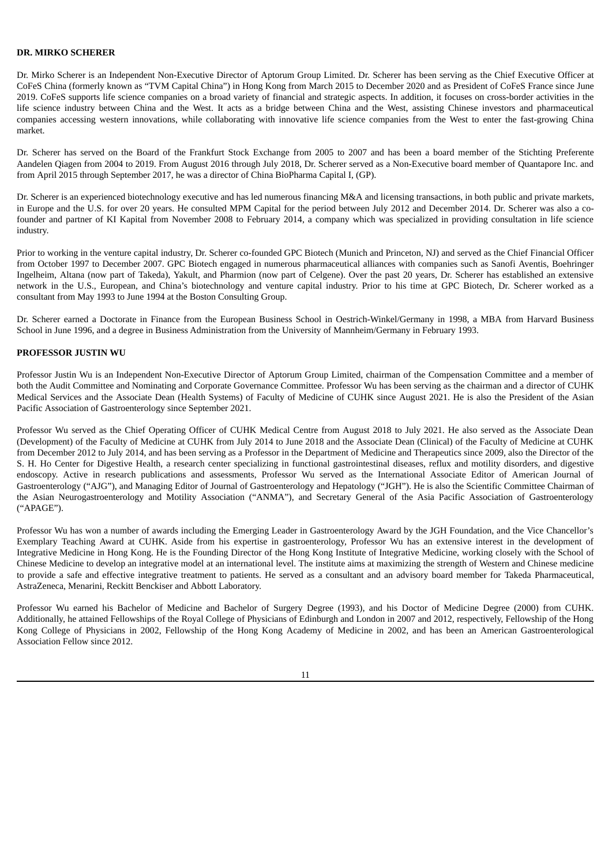## **DR. MIRKO SCHERER**

Dr. Mirko Scherer is an Independent Non-Executive Director of Aptorum Group Limited. Dr. Scherer has been serving as the Chief Executive Officer at CoFeS China (formerly known as "TVM Capital China") in Hong Kong from March 2015 to December 2020 and as President of CoFeS France since June 2019. CoFeS supports life science companies on a broad variety of financial and strategic aspects. In addition, it focuses on cross-border activities in the life science industry between China and the West. It acts as a bridge between China and the West, assisting Chinese investors and pharmaceutical companies accessing western innovations, while collaborating with innovative life science companies from the West to enter the fast-growing China market.

Dr. Scherer has served on the Board of the Frankfurt Stock Exchange from 2005 to 2007 and has been a board member of the Stichting Preferente Aandelen Qiagen from 2004 to 2019. From August 2016 through July 2018, Dr. Scherer served as a Non-Executive board member of Quantapore Inc. and from April 2015 through September 2017, he was a director of China BioPharma Capital I, (GP).

Dr. Scherer is an experienced biotechnology executive and has led numerous financing M&A and licensing transactions, in both public and private markets, in Europe and the U.S. for over 20 years. He consulted MPM Capital for the period between July 2012 and December 2014. Dr. Scherer was also a cofounder and partner of KI Kapital from November 2008 to February 2014, a company which was specialized in providing consultation in life science industry.

Prior to working in the venture capital industry, Dr. Scherer co-founded GPC Biotech (Munich and Princeton, NJ) and served as the Chief Financial Officer from October 1997 to December 2007. GPC Biotech engaged in numerous pharmaceutical alliances with companies such as Sanofi Aventis, Boehringer Ingelheim, Altana (now part of Takeda), Yakult, and Pharmion (now part of Celgene). Over the past 20 years, Dr. Scherer has established an extensive network in the U.S., European, and China's biotechnology and venture capital industry. Prior to his time at GPC Biotech, Dr. Scherer worked as a consultant from May 1993 to June 1994 at the Boston Consulting Group.

Dr. Scherer earned a Doctorate in Finance from the European Business School in Oestrich-Winkel/Germany in 1998, a MBA from Harvard Business School in June 1996, and a degree in Business Administration from the University of Mannheim/Germany in February 1993.

#### **PROFESSOR JUSTIN WU**

Professor Justin Wu is an Independent Non-Executive Director of Aptorum Group Limited, chairman of the Compensation Committee and a member of both the Audit Committee and Nominating and Corporate Governance Committee. Professor Wu has been serving as the chairman and a director of CUHK Medical Services and the Associate Dean (Health Systems) of Faculty of Medicine of CUHK since August 2021. He is also the President of the Asian Pacific Association of Gastroenterology since September 2021.

Professor Wu served as the Chief Operating Officer of CUHK Medical Centre from August 2018 to July 2021. He also served as the Associate Dean (Development) of the Faculty of Medicine at CUHK from July 2014 to June 2018 and the Associate Dean (Clinical) of the Faculty of Medicine at CUHK from December 2012 to July 2014, and has been serving as a Professor in the Department of Medicine and Therapeutics since 2009, also the Director of the S. H. Ho Center for Digestive Health, a research center specializing in functional gastrointestinal diseases, reflux and motility disorders, and digestive endoscopy. Active in research publications and assessments, Professor Wu served as the International Associate Editor of American Journal of Gastroenterology ("AJG"), and Managing Editor of Journal of Gastroenterology and Hepatology ("JGH"). He is also the Scientific Committee Chairman of the Asian Neurogastroenterology and Motility Association ("ANMA"), and Secretary General of the Asia Pacific Association of Gastroenterology ("APAGE").

Professor Wu has won a number of awards including the Emerging Leader in Gastroenterology Award by the JGH Foundation, and the Vice Chancellor's Exemplary Teaching Award at CUHK. Aside from his expertise in gastroenterology, Professor Wu has an extensive interest in the development of Integrative Medicine in Hong Kong. He is the Founding Director of the Hong Kong Institute of Integrative Medicine, working closely with the School of Chinese Medicine to develop an integrative model at an international level. The institute aims at maximizing the strength of Western and Chinese medicine to provide a safe and effective integrative treatment to patients. He served as a consultant and an advisory board member for Takeda Pharmaceutical, AstraZeneca, Menarini, Reckitt Benckiser and Abbott Laboratory.

Professor Wu earned his Bachelor of Medicine and Bachelor of Surgery Degree (1993), and his Doctor of Medicine Degree (2000) from CUHK. Additionally, he attained Fellowships of the Royal College of Physicians of Edinburgh and London in 2007 and 2012, respectively, Fellowship of the Hong Kong College of Physicians in 2002, Fellowship of the Hong Kong Academy of Medicine in 2002, and has been an American Gastroenterological Association Fellow since 2012.

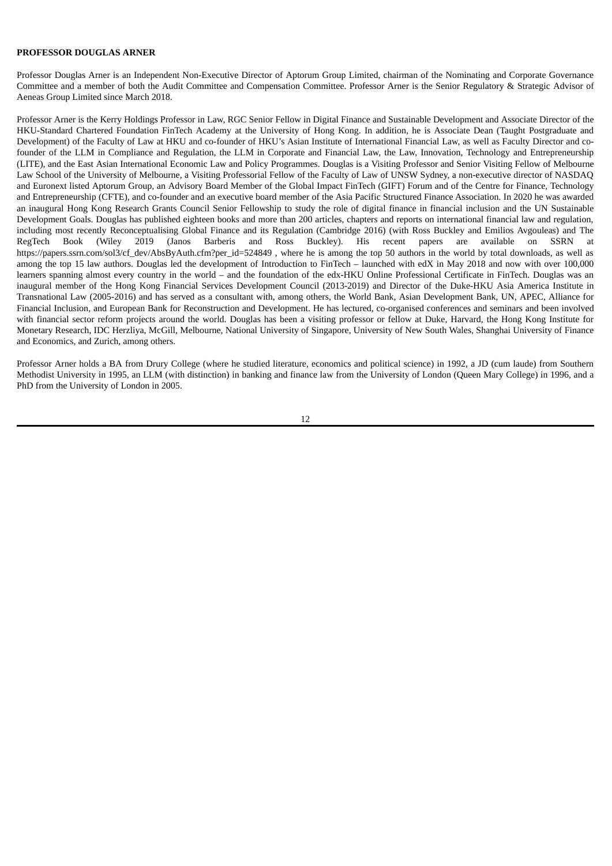### **PROFESSOR DOUGLAS ARNER**

Professor Douglas Arner is an Independent Non-Executive Director of Aptorum Group Limited, chairman of the Nominating and Corporate Governance Committee and a member of both the Audit Committee and Compensation Committee. Professor Arner is the Senior Regulatory & Strategic Advisor of Aeneas Group Limited since March 2018.

Professor Arner is the Kerry Holdings Professor in Law, RGC Senior Fellow in Digital Finance and Sustainable Development and Associate Director of the HKU-Standard Chartered Foundation FinTech Academy at the University of Hong Kong. In addition, he is Associate Dean (Taught Postgraduate and Development) of the Faculty of Law at HKU and co-founder of HKU's Asian Institute of International Financial Law, as well as Faculty Director and cofounder of the LLM in Compliance and Regulation, the LLM in Corporate and Financial Law, the Law, Innovation, Technology and Entrepreneurship (LITE), and the East Asian International Economic Law and Policy Programmes. Douglas is a Visiting Professor and Senior Visiting Fellow of Melbourne Law School of the University of Melbourne, a Visiting Professorial Fellow of the Faculty of Law of UNSW Sydney, a non-executive director of NASDAQ and Euronext listed Aptorum Group, an Advisory Board Member of the Global Impact FinTech (GIFT) Forum and of the Centre for Finance, Technology and Entrepreneurship (CFTE), and co-founder and an executive board member of the Asia Pacific Structured Finance Association. In 2020 he was awarded an inaugural Hong Kong Research Grants Council Senior Fellowship to study the role of digital finance in financial inclusion and the UN Sustainable Development Goals. Douglas has published eighteen books and more than 200 articles, chapters and reports on international financial law and regulation, including most recently Reconceptualising Global Finance and its Regulation (Cambridge 2016) (with Ross Buckley and Emilios Avgouleas) and The RegTech Book (Wiley 2019 (Janos Barberis and Ross Buckley). His recent papers are available on SSRN at https://papers.ssrn.com/sol3/cf\_dev/AbsByAuth.cfm?per\_id=524849 , where he is among the top 50 authors in the world by total downloads, as well as among the top 15 law authors. Douglas led the development of Introduction to FinTech – launched with edX in May 2018 and now with over 100,000 learners spanning almost every country in the world – and the foundation of the edx-HKU Online Professional Certificate in FinTech. Douglas was an inaugural member of the Hong Kong Financial Services Development Council (2013-2019) and Director of the Duke-HKU Asia America Institute in Transnational Law (2005-2016) and has served as a consultant with, among others, the World Bank, Asian Development Bank, UN, APEC, Alliance for Financial Inclusion, and European Bank for Reconstruction and Development. He has lectured, co-organised conferences and seminars and been involved with financial sector reform projects around the world. Douglas has been a visiting professor or fellow at Duke, Harvard, the Hong Kong Institute for Monetary Research, IDC Herzliya, McGill, Melbourne, National University of Singapore, University of New South Wales, Shanghai University of Finance and Economics, and Zurich, among others.

Professor Arner holds a BA from Drury College (where he studied literature, economics and political science) in 1992, a JD (cum laude) from Southern Methodist University in 1995, an LLM (with distinction) in banking and finance law from the University of London (Queen Mary College) in 1996, and a PhD from the University of London in 2005.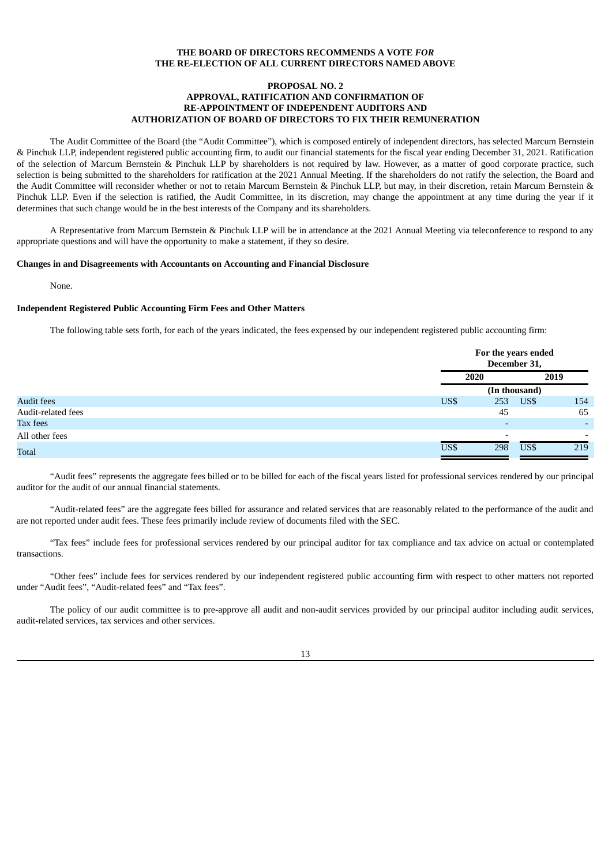## **THE BOARD OF DIRECTORS RECOMMENDS A VOTE** *FOR* **THE RE-ELECTION OF ALL CURRENT DIRECTORS NAMED ABOVE**

#### **PROPOSAL NO. 2 APPROVAL, RATIFICATION AND CONFIRMATION OF RE-APPOINTMENT OF INDEPENDENT AUDITORS AND AUTHORIZATION OF BOARD OF DIRECTORS TO FIX THEIR REMUNERATION**

The Audit Committee of the Board (the "Audit Committee"), which is composed entirely of independent directors, has selected Marcum Bernstein & Pinchuk LLP, independent registered public accounting firm, to audit our financial statements for the fiscal year ending December 31, 2021. Ratification of the selection of Marcum Bernstein & Pinchuk LLP by shareholders is not required by law. However, as a matter of good corporate practice, such selection is being submitted to the shareholders for ratification at the 2021 Annual Meeting. If the shareholders do not ratify the selection, the Board and the Audit Committee will reconsider whether or not to retain Marcum Bernstein & Pinchuk LLP, but may, in their discretion, retain Marcum Bernstein & Pinchuk LLP. Even if the selection is ratified, the Audit Committee, in its discretion, may change the appointment at any time during the year if it determines that such change would be in the best interests of the Company and its shareholders.

A Representative from Marcum Bernstein & Pinchuk LLP will be in attendance at the 2021 Annual Meeting via teleconference to respond to any appropriate questions and will have the opportunity to make a statement, if they so desire.

## **Changes in and Disagreements with Accountants on Accounting and Financial Disclosure**

None.

#### **Independent Registered Public Accounting Firm Fees and Other Matters**

The following table sets forth, for each of the years indicated, the fees expensed by our independent registered public accounting firm:

|                    |      | For the years ended<br>December 31, |               |                          |
|--------------------|------|-------------------------------------|---------------|--------------------------|
|                    |      | 2020                                | 2019          |                          |
|                    |      |                                     | (In thousand) |                          |
| Audit fees         | US\$ | 253                                 | US\$          | 154                      |
| Audit-related fees |      | 45                                  |               | 65                       |
| Tax fees           |      | $\overline{\phantom{0}}$            |               | $\overline{\phantom{0}}$ |
| All other fees     |      | -                                   |               | $\overline{\phantom{0}}$ |
| Total              | US\$ | 298                                 | US\$          | 219                      |

"Audit fees" represents the aggregate fees billed or to be billed for each of the fiscal years listed for professional services rendered by our principal auditor for the audit of our annual financial statements.

"Audit-related fees" are the aggregate fees billed for assurance and related services that are reasonably related to the performance of the audit and are not reported under audit fees. These fees primarily include review of documents filed with the SEC.

"Tax fees" include fees for professional services rendered by our principal auditor for tax compliance and tax advice on actual or contemplated transactions.

"Other fees" include fees for services rendered by our independent registered public accounting firm with respect to other matters not reported under "Audit fees", "Audit-related fees" and "Tax fees".

The policy of our audit committee is to pre-approve all audit and non-audit services provided by our principal auditor including audit services, audit-related services, tax services and other services.

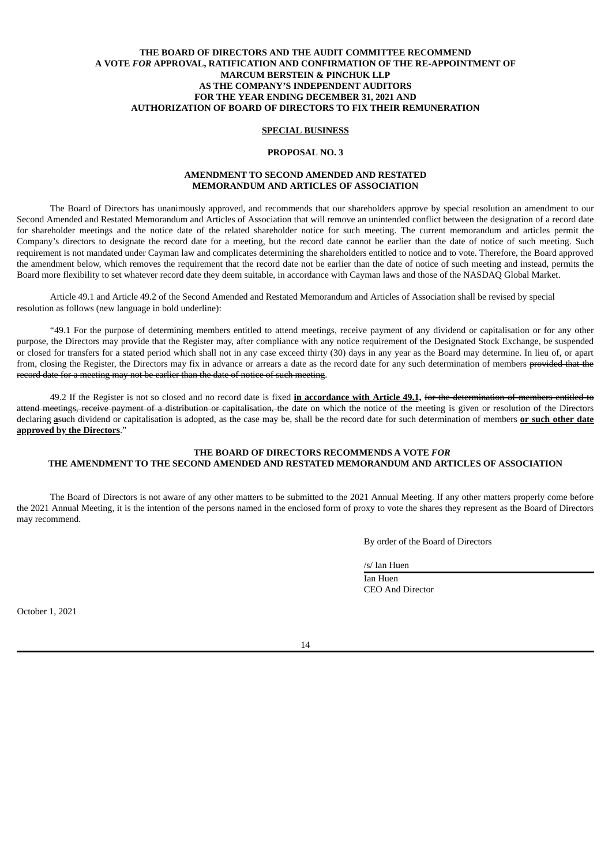## **THE BOARD OF DIRECTORS AND THE AUDIT COMMITTEE RECOMMEND A VOTE** *FOR* **APPROVAL, RATIFICATION AND CONFIRMATION OF THE RE-APPOINTMENT OF MARCUM BERSTEIN & PINCHUK LLP AS THE COMPANY'S INDEPENDENT AUDITORS FOR THE YEAR ENDING DECEMBER 31, 2021 AND AUTHORIZATION OF BOARD OF DIRECTORS TO FIX THEIR REMUNERATION**

## **SPECIAL BUSINESS**

#### **PROPOSAL NO. 3**

## **AMENDMENT TO SECOND AMENDED AND RESTATED MEMORANDUM AND ARTICLES OF ASSOCIATION**

The Board of Directors has unanimously approved, and recommends that our shareholders approve by special resolution an amendment to our Second Amended and Restated Memorandum and Articles of Association that will remove an unintended conflict between the designation of a record date for shareholder meetings and the notice date of the related shareholder notice for such meeting. The current memorandum and articles permit the Company's directors to designate the record date for a meeting, but the record date cannot be earlier than the date of notice of such meeting. Such requirement is not mandated under Cayman law and complicates determining the shareholders entitled to notice and to vote. Therefore, the Board approved the amendment below, which removes the requirement that the record date not be earlier than the date of notice of such meeting and instead, permits the Board more flexibility to set whatever record date they deem suitable, in accordance with Cayman laws and those of the NASDAQ Global Market.

Article 49.1 and Article 49.2 of the Second Amended and Restated Memorandum and Articles of Association shall be revised by special resolution as follows (new language in bold underline):

"49.1 For the purpose of determining members entitled to attend meetings, receive payment of any dividend or capitalisation or for any other purpose, the Directors may provide that the Register may, after compliance with any notice requirement of the Designated Stock Exchange, be suspended or closed for transfers for a stated period which shall not in any case exceed thirty (30) days in any year as the Board may determine. In lieu of, or apart from, closing the Register, the Directors may fix in advance or arrears a date as the record date for any such determination of members provided that the record date for a meeting may not be earlier than the date of notice of such meeting.

49.2 If the Register is not so closed and no record date is fixed **in accordance with Article 49.1,** for the determination of members entitled to attend meetings, receive payment of a distribution or capitalisation, the date on which the notice of the meeting is given or resolution of the Directors declaring **a**such dividend or capitalisation is adopted, as the case may be, shall be the record date for such determination of members **or such other date approved by the Directors**."

## **THE BOARD OF DIRECTORS RECOMMENDS A VOTE** *FOR* **THE AMENDMENT TO THE SECOND AMENDED AND RESTATED MEMORANDUM AND ARTICLES OF ASSOCIATION**

The Board of Directors is not aware of any other matters to be submitted to the 2021 Annual Meeting. If any other matters properly come before the 2021 Annual Meeting, it is the intention of the persons named in the enclosed form of proxy to vote the shares they represent as the Board of Directors may recommend.

By order of the Board of Directors

/s/ Ian Huen

Ian Huen CEO And Director

October 1, 2021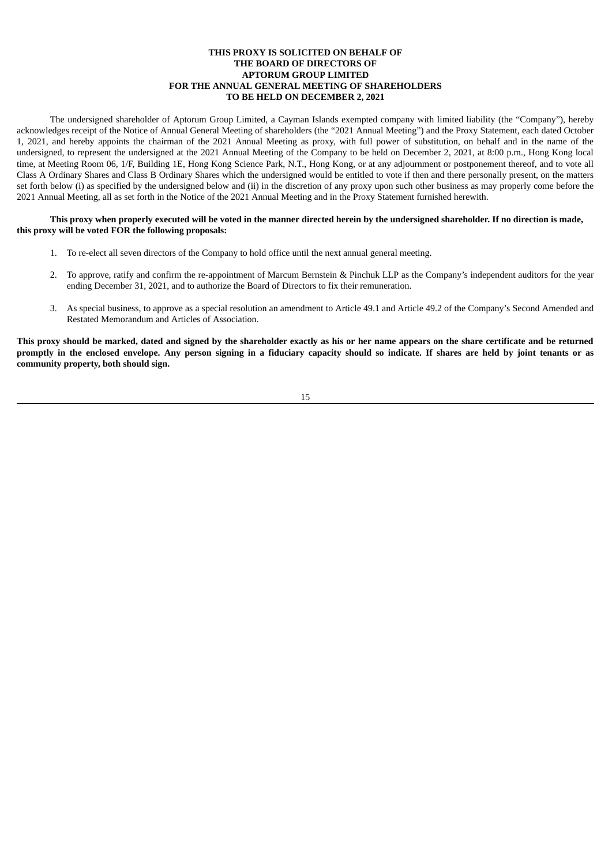### **THIS PROXY IS SOLICITED ON BEHALF OF THE BOARD OF DIRECTORS OF APTORUM GROUP LIMITED FOR THE ANNUAL GENERAL MEETING OF SHAREHOLDERS TO BE HELD ON DECEMBER 2, 2021**

The undersigned shareholder of Aptorum Group Limited, a Cayman Islands exempted company with limited liability (the "Company"), hereby acknowledges receipt of the Notice of Annual General Meeting of shareholders (the "2021 Annual Meeting") and the Proxy Statement, each dated October 1, 2021, and hereby appoints the chairman of the 2021 Annual Meeting as proxy, with full power of substitution, on behalf and in the name of the undersigned, to represent the undersigned at the 2021 Annual Meeting of the Company to be held on December 2, 2021, at 8:00 p.m., Hong Kong local time, at Meeting Room 06, 1/F, Building 1E, Hong Kong Science Park, N.T., Hong Kong, or at any adjournment or postponement thereof, and to vote all Class A Ordinary Shares and Class B Ordinary Shares which the undersigned would be entitled to vote if then and there personally present, on the matters set forth below (i) as specified by the undersigned below and (ii) in the discretion of any proxy upon such other business as may properly come before the 2021 Annual Meeting, all as set forth in the Notice of the 2021 Annual Meeting and in the Proxy Statement furnished herewith.

This proxy when properly executed will be voted in the manner directed herein by the undersigned shareholder. If no direction is made, **this proxy will be voted FOR the following proposals:**

- 1. To re-elect all seven directors of the Company to hold office until the next annual general meeting.
- 2. To approve, ratify and confirm the re-appointment of Marcum Bernstein & Pinchuk LLP as the Company's independent auditors for the year ending December 31, 2021, and to authorize the Board of Directors to fix their remuneration.
- 3. As special business, to approve as a special resolution an amendment to Article 49.1 and Article 49.2 of the Company's Second Amended and Restated Memorandum and Articles of Association.

This proxy should be marked, dated and signed by the shareholder exactly as his or her name appears on the share certificate and be returned promptly in the enclosed envelope. Any person signing in a fiduciary capacity should so indicate. If shares are held by joint tenants or as **community property, both should sign.**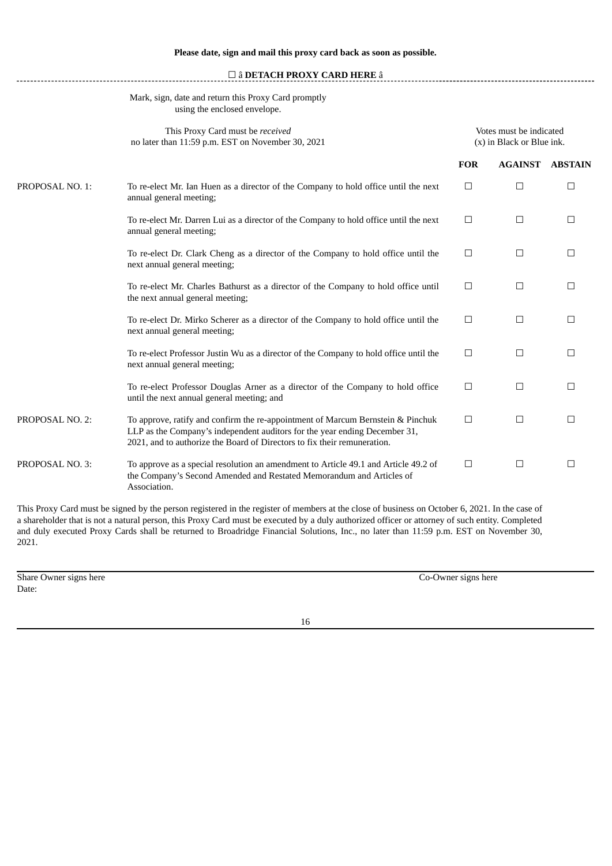|                 | $\square$ â DETACH PROXY CARD HERE â                                                                                                                                                                                                      |                                                      |                |                |
|-----------------|-------------------------------------------------------------------------------------------------------------------------------------------------------------------------------------------------------------------------------------------|------------------------------------------------------|----------------|----------------|
|                 | Mark, sign, date and return this Proxy Card promptly<br>using the enclosed envelope.                                                                                                                                                      |                                                      |                |                |
|                 | This Proxy Card must be received<br>no later than 11:59 p.m. EST on November 30, 2021                                                                                                                                                     | Votes must be indicated<br>(x) in Black or Blue ink. |                |                |
|                 |                                                                                                                                                                                                                                           | <b>FOR</b>                                           | <b>AGAINST</b> | <b>ABSTAIN</b> |
| PROPOSAL NO. 1: | To re-elect Mr. Ian Huen as a director of the Company to hold office until the next<br>annual general meeting;                                                                                                                            | $\Box$                                               | □              | $\Box$         |
|                 | To re-elect Mr. Darren Lui as a director of the Company to hold office until the next<br>annual general meeting;                                                                                                                          | $\Box$                                               | $\Box$         | $\Box$         |
|                 | To re-elect Dr. Clark Cheng as a director of the Company to hold office until the<br>next annual general meeting;                                                                                                                         | $\Box$                                               | □              | $\Box$         |
|                 | To re-elect Mr. Charles Bathurst as a director of the Company to hold office until<br>the next annual general meeting;                                                                                                                    | $\Box$                                               | $\Box$         | □              |
|                 | To re-elect Dr. Mirko Scherer as a director of the Company to hold office until the<br>next annual general meeting;                                                                                                                       | $\Box$                                               | $\Box$         | $\Box$         |
|                 | To re-elect Professor Justin Wu as a director of the Company to hold office until the<br>next annual general meeting;                                                                                                                     | $\Box$                                               | □              | □              |
|                 | To re-elect Professor Douglas Arner as a director of the Company to hold office<br>until the next annual general meeting; and                                                                                                             | $\Box$                                               | $\Box$         | $\Box$         |
| PROPOSAL NO. 2: | To approve, ratify and confirm the re-appointment of Marcum Bernstein & Pinchuk<br>LLP as the Company's independent auditors for the year ending December 31,<br>2021, and to authorize the Board of Directors to fix their remuneration. | $\Box$                                               | $\Box$         | □              |
| PROPOSAL NO. 3: | To approve as a special resolution an amendment to Article 49.1 and Article 49.2 of<br>the Company's Second Amended and Restated Memorandum and Articles of<br>Association.                                                               | $\Box$                                               | $\Box$         | □              |

This Proxy Card must be signed by the person registered in the register of members at the close of business on October 6, 2021. In the case of a shareholder that is not a natural person, this Proxy Card must be executed by a duly authorized officer or attorney of such entity. Completed and duly executed Proxy Cards shall be returned to Broadridge Financial Solutions, Inc., no later than 11:59 p.m. EST on November 30, 2021.

Share Owner signs here Co-Owner signs here Co-Owner signs here Date: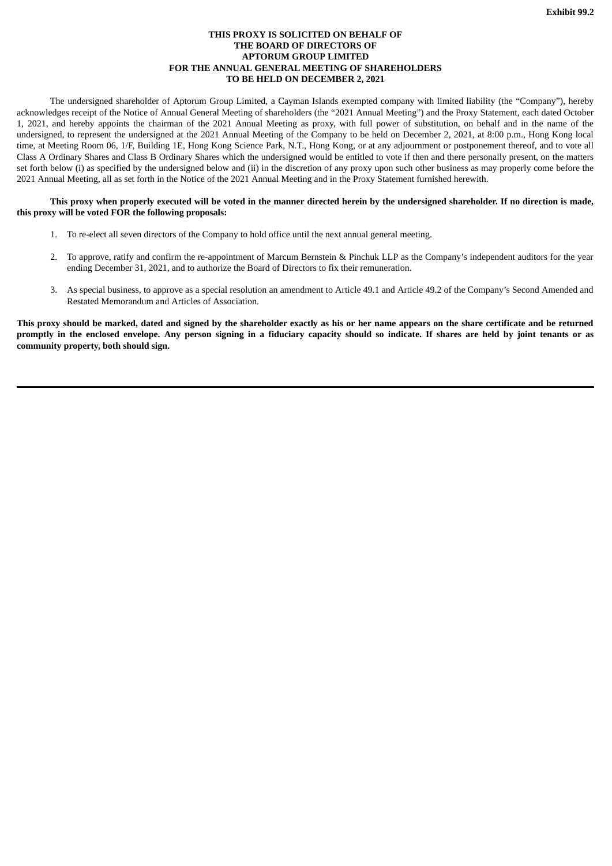### **THIS PROXY IS SOLICITED ON BEHALF OF THE BOARD OF DIRECTORS OF APTORUM GROUP LIMITED FOR THE ANNUAL GENERAL MEETING OF SHAREHOLDERS TO BE HELD ON DECEMBER 2, 2021**

<span id="page-20-0"></span>The undersigned shareholder of Aptorum Group Limited, a Cayman Islands exempted company with limited liability (the "Company"), hereby acknowledges receipt of the Notice of Annual General Meeting of shareholders (the "2021 Annual Meeting") and the Proxy Statement, each dated October 1, 2021, and hereby appoints the chairman of the 2021 Annual Meeting as proxy, with full power of substitution, on behalf and in the name of the undersigned, to represent the undersigned at the 2021 Annual Meeting of the Company to be held on December 2, 2021, at 8:00 p.m., Hong Kong local time, at Meeting Room 06, 1/F, Building 1E, Hong Kong Science Park, N.T., Hong Kong, or at any adjournment or postponement thereof, and to vote all Class A Ordinary Shares and Class B Ordinary Shares which the undersigned would be entitled to vote if then and there personally present, on the matters set forth below (i) as specified by the undersigned below and (ii) in the discretion of any proxy upon such other business as may properly come before the 2021 Annual Meeting, all as set forth in the Notice of the 2021 Annual Meeting and in the Proxy Statement furnished herewith.

### This proxy when properly executed will be voted in the manner directed herein by the undersigned shareholder. If no direction is made, **this proxy will be voted FOR the following proposals:**

- 1. To re-elect all seven directors of the Company to hold office until the next annual general meeting.
- 2. To approve, ratify and confirm the re-appointment of Marcum Bernstein & Pinchuk LLP as the Company's independent auditors for the year ending December 31, 2021, and to authorize the Board of Directors to fix their remuneration.
- 3. As special business, to approve as a special resolution an amendment to Article 49.1 and Article 49.2 of the Company's Second Amended and Restated Memorandum and Articles of Association.

This proxy should be marked, dated and signed by the shareholder exactly as his or her name appears on the share certificate and be returned promptly in the enclosed envelope. Any person signing in a fiduciary capacity should so indicate. If shares are held by joint tenants or as **community property, both should sign.**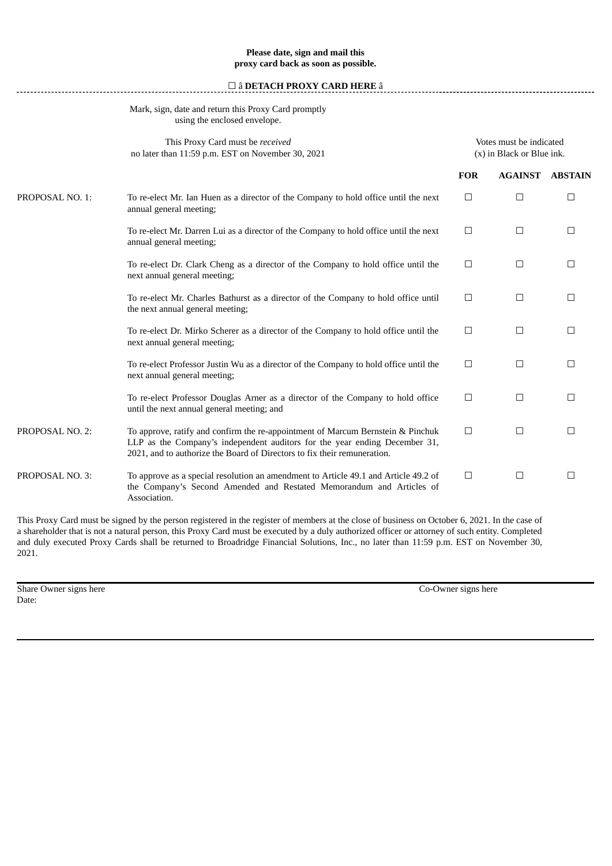## **Please date, sign and mail this proxy card back as soon as possible.**

## ☐ â **DETACH PROXY CARD HERE** â

## Mark, sign, date and return this Proxy Card promptly using the enclosed envelope.

|                 | This Proxy Card must be received<br>no later than 11:59 p.m. EST on November 30, 2021                                                                                                                                                     |            | Votes must be indicated<br>(x) in Black or Blue ink. |                |  |
|-----------------|-------------------------------------------------------------------------------------------------------------------------------------------------------------------------------------------------------------------------------------------|------------|------------------------------------------------------|----------------|--|
|                 |                                                                                                                                                                                                                                           | <b>FOR</b> | <b>AGAINST</b>                                       | <b>ABSTAIN</b> |  |
| PROPOSAL NO. 1: | To re-elect Mr. Ian Huen as a director of the Company to hold office until the next<br>annual general meeting;                                                                                                                            | $\Box$     | $\Box$                                               | $\Box$         |  |
|                 | To re-elect Mr. Darren Lui as a director of the Company to hold office until the next<br>annual general meeting;                                                                                                                          | $\Box$     | $\Box$                                               | $\Box$         |  |
|                 | To re-elect Dr. Clark Cheng as a director of the Company to hold office until the<br>next annual general meeting;                                                                                                                         | $\Box$     | $\Box$                                               | $\Box$         |  |
|                 | To re-elect Mr. Charles Bathurst as a director of the Company to hold office until<br>the next annual general meeting;                                                                                                                    | $\Box$     | $\Box$                                               | $\Box$         |  |
|                 | To re-elect Dr. Mirko Scherer as a director of the Company to hold office until the<br>next annual general meeting;                                                                                                                       | $\Box$     | $\Box$                                               | $\Box$         |  |
|                 | To re-elect Professor Justin Wu as a director of the Company to hold office until the<br>next annual general meeting;                                                                                                                     | $\Box$     | $\Box$                                               | $\Box$         |  |
|                 | To re-elect Professor Douglas Arner as a director of the Company to hold office<br>until the next annual general meeting; and                                                                                                             | $\Box$     | $\Box$                                               | $\Box$         |  |
| PROPOSAL NO. 2: | To approve, ratify and confirm the re-appointment of Marcum Bernstein & Pinchuk<br>LLP as the Company's independent auditors for the year ending December 31,<br>2021, and to authorize the Board of Directors to fix their remuneration. | $\Box$     | $\Box$                                               | $\Box$         |  |
| PROPOSAL NO. 3: | To approve as a special resolution an amendment to Article 49.1 and Article 49.2 of<br>the Company's Second Amended and Restated Memorandum and Articles of<br>Association.                                                               | $\Box$     | $\Box$                                               | $\Box$         |  |
|                 |                                                                                                                                                                                                                                           |            |                                                      |                |  |

This Proxy Card must be signed by the person registered in the register of members at the close of business on October 6, 2021. In the case of a shareholder that is not a natural person, this Proxy Card must be executed by a duly authorized officer or attorney of such entity. Completed and duly executed Proxy Cards shall be returned to Broadridge Financial Solutions, Inc., no later than 11:59 p.m. EST on November 30, 2021.

Share Owner signs here Co-Owner signs here Co-Owner signs here Date: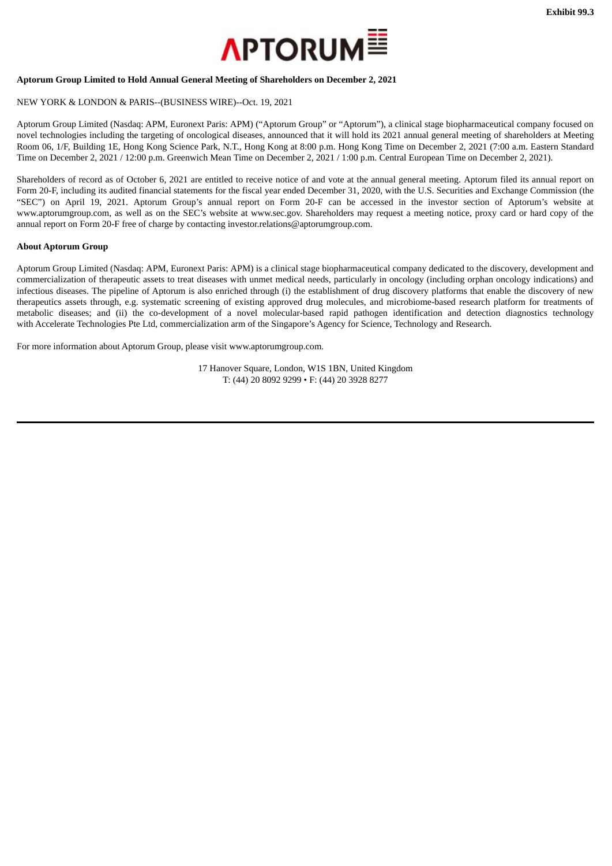

### <span id="page-22-0"></span>**Aptorum Group Limited to Hold Annual General Meeting of Shareholders on December 2, 2021**

## NEW YORK & LONDON & PARIS--(BUSINESS WIRE)--Oct. 19, 2021

Aptorum Group Limited (Nasdaq: APM, Euronext Paris: APM) ("Aptorum Group" or "Aptorum"), a clinical stage biopharmaceutical company focused on novel technologies including the targeting of oncological diseases, announced that it will hold its 2021 annual general meeting of shareholders at Meeting Room 06, 1/F, Building 1E, Hong Kong Science Park, N.T., Hong Kong at 8:00 p.m. Hong Kong Time on December 2, 2021 (7:00 a.m. Eastern Standard Time on December 2, 2021 / 12:00 p.m. Greenwich Mean Time on December 2, 2021 / 1:00 p.m. Central European Time on December 2, 2021).

Shareholders of record as of October 6, 2021 are entitled to receive notice of and vote at the annual general meeting. Aptorum filed its annual report on Form 20-F, including its audited financial statements for the fiscal year ended December 31, 2020, with the U.S. Securities and Exchange Commission (the "SEC") on April 19, 2021. Aptorum Group's annual report on Form 20-F can be accessed in the investor section of Aptorum's website at www.aptorumgroup.com, as well as on the SEC's website at www.sec.gov. Shareholders may request a meeting notice, proxy card or hard copy of the annual report on Form 20-F free of charge by contacting investor.relations@aptorumgroup.com.

#### **About Aptorum Group**

Aptorum Group Limited (Nasdaq: APM, Euronext Paris: APM) is a clinical stage biopharmaceutical company dedicated to the discovery, development and commercialization of therapeutic assets to treat diseases with unmet medical needs, particularly in oncology (including orphan oncology indications) and infectious diseases. The pipeline of Aptorum is also enriched through (i) the establishment of drug discovery platforms that enable the discovery of new therapeutics assets through, e.g. systematic screening of existing approved drug molecules, and microbiome-based research platform for treatments of metabolic diseases; and (ii) the co-development of a novel molecular-based rapid pathogen identification and detection diagnostics technology with Accelerate Technologies Pte Ltd, commercialization arm of the Singapore's Agency for Science, Technology and Research.

For more information about Aptorum Group, please visit www.aptorumgroup.com.

17 Hanover Square, London, W1S 1BN, United Kingdom T: (44) 20 8092 9299 • F: (44) 20 3928 8277